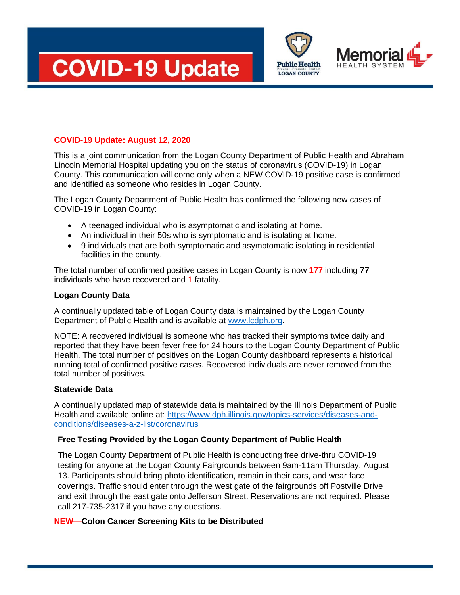





# **COVID-19 Update: August 12, 2020**

This is a joint communication from the Logan County Department of Public Health and Abraham Lincoln Memorial Hospital updating you on the status of coronavirus (COVID-19) in Logan County. This communication will come only when a NEW COVID-19 positive case is confirmed and identified as someone who resides in Logan County.

The Logan County Department of Public Health has confirmed the following new cases of COVID-19 in Logan County:

- A teenaged individual who is asymptomatic and isolating at home.
- An individual in their 50s who is symptomatic and is isolating at home.
- 9 individuals that are both symptomatic and asymptomatic isolating in residential facilities in the county.

The total number of confirmed positive cases in Logan County is now **177** including **77** individuals who have recovered and 1 fatality.

## **Logan County Data**

A continually updated table of Logan County data is maintained by the Logan County Department of Public Health and is available at [www.lcdph.org.](http://www.lcdph.org/)

NOTE: A recovered individual is someone who has tracked their symptoms twice daily and reported that they have been fever free for 24 hours to the Logan County Department of Public Health. The total number of positives on the Logan County dashboard represents a historical running total of confirmed positive cases. Recovered individuals are never removed from the total number of positives.

## **Statewide Data**

A continually updated map of statewide data is maintained by the Illinois Department of Public Health and available online at: [https://www.dph.illinois.gov/topics-services/diseases-and](https://www.dph.illinois.gov/topics-services/diseases-and-conditions/diseases-a-z-list/coronavirus)[conditions/diseases-a-z-list/coronavirus](https://www.dph.illinois.gov/topics-services/diseases-and-conditions/diseases-a-z-list/coronavirus)

## **Free Testing Provided by the Logan County Department of Public Health**

The Logan County Department of Public Health is conducting free drive-thru COVID-19 testing for anyone at the Logan County Fairgrounds between 9am-11am Thursday, August 13. Participants should bring photo identification, remain in their cars, and wear face coverings. Traffic should enter through the west gate of the fairgrounds off Postville Drive and exit through the east gate onto Jefferson Street. Reservations are not required. Please call 217-735-2317 if you have any questions.

## **NEW—Colon Cancer Screening Kits to be Distributed**